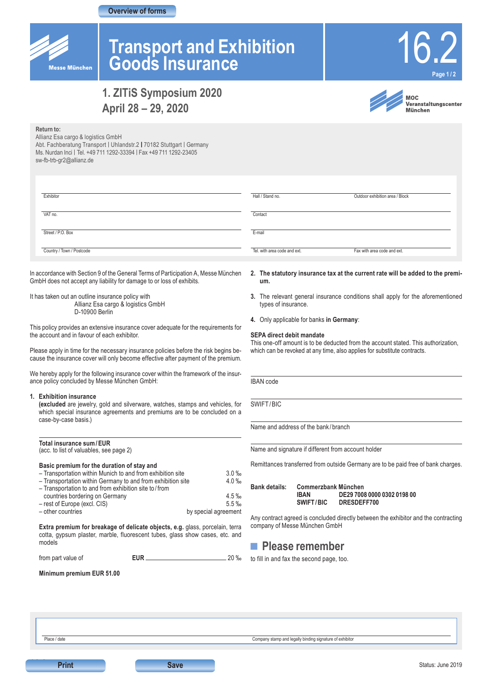### **Overview of forms**



**Return to:**

 $Fxh$ 

**VAT** 

Street

 $C<sub>OM</sub>$ 

# **Transport and Exhibition Goods Insurance**



# **1. ZITiS Symposium 2020 April 28 – 29, 2020**



**MOC** www.moc<br>Veranstaltungscenter **München** 

| IVGLUITILU.                                                           |
|-----------------------------------------------------------------------|
| Allianz Esa cargo & logistics GmbH                                    |
| Abt. Fachberatung Transport   Uhlandstr.2   70182 Stuttgart   Germany |
| Ms. Nurdan Inci   Tel. +49 711 1292-33394   Fax +49 711 1292-23405    |
| sw-fb-trb-gr2@allianz.de                                              |
|                                                                       |
|                                                                       |
|                                                                       |
|                                                                       |

| bitor                  | Hall / Stand no.             | Outdoor exhibition area / Block |
|------------------------|------------------------------|---------------------------------|
| no.                    | Contact                      |                                 |
| et / P.O. Box          | E-mail                       |                                 |
| htry / Town / Postcode | Tel. with area code and ext. | Fax with area code and ext.     |

In accordance with Section 9 of the General Terms of Participation A, Messe München GmbH does not accept any liability for damage to or loss of exhibits.

It has taken out an outline insurance policy with Allianz Esa cargo & logistics GmbH D-10900 Berlin

This policy provides an extensive insurance cover adequate for the requirements for the account and in favour of each exhibitor.

Please apply in time for the necessary insurance policies before the risk begins because the insurance cover will only become effective after payment of the premium.

We hereby apply for the following insurance cover within the framework of the insurance policy concluded by Messe München GmbH:

#### **1. Exhibition insurance**

**(excluded** are jewelry, gold and silverware, watches, stamps and vehicles, for which special insurance agreements and premiums are to be concluded on a case-by-case basis.)

#### **Total insurance sum/EUR**  (acc. to list of valuables, see page 2)

### **Basic premium for the duration of stay and**

| - Transportation within Munich to and from exhibition site  | 3.0%                 |
|-------------------------------------------------------------|----------------------|
| - Transportation within Germany to and from exhibition site | $4.0 \%$             |
| - Transportation to and from exhibition site to/from        |                      |
| countries bordering on Germany                              | $4.5 \%$             |
| - rest of Europe (excl. CIS)                                | $5.5 \%$             |
| - other countries                                           | by special agreement |
|                                                             |                      |

**Extra premium for breakage of delicate objects, e.g.** glass, porcelain, terra cotta, gypsum plaster, marble, fluorescent tubes, glass show cases, etc. and models

from part value of **EUR** 20 ‰

**Minimum premium EUR 51.00** 

- **2. The statutory insurance tax at the current rate will be added to the premium.**
- **3.** The relevant general insurance conditions shall apply for the aforementioned types of insurance.
- **4.** Only applicable for banks **in Germany**:

#### **SEPA direct debit mandate**

This one-off amount is to be deducted from the account stated. This authorization, which can be revoked at any time, also applies for substitute contracts.

IBAN code

SWIFT/BIC

Name and address of the bank / branch

Name and signature if different from account holder

Remittances transferred from outside Germany are to be paid free of bank charges.

| <b>Bank details:</b> | Commerzbank München |                                            |  |
|----------------------|---------------------|--------------------------------------------|--|
|                      | IRAN<br>SWIFT/BIC   | DE29 7008 0000 0302 0198 00<br>DRESDEFF700 |  |

Any contract agreed is concluded directly between the exhibitor and the contracting company of Messe München GmbH



to fill in and fax the second page, too.

**16.2**

**Print Save** 

Place / date Company stamp and legally binding signature of exhibitor